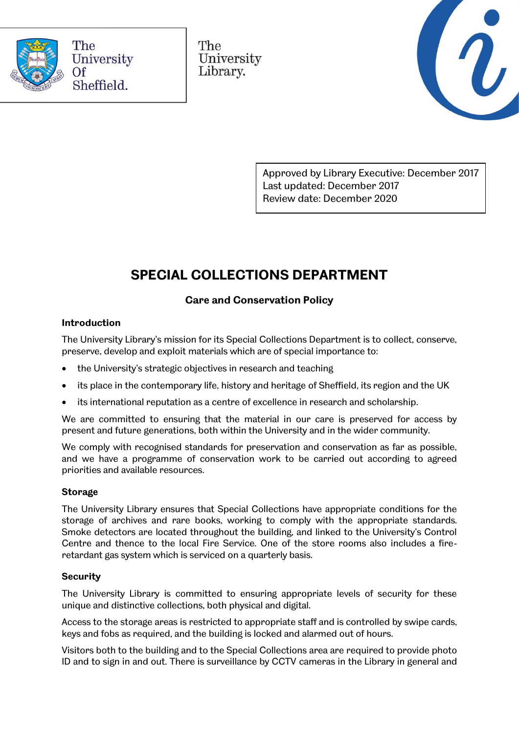

The University Library.



Approved by Library Executive: December 2017 Last updated: December 2017 Review date: December 2020

# **SPECIAL COLLECTIONS DEPARTMENT**

# **Care and Conservation Policy**

## **Introduction**

The University Library's mission for its Special Collections Department is to collect, conserve, preserve, develop and exploit materials which are of special importance to:

- the University's strategic objectives in research and teaching
- its place in the contemporary life, history and heritage of Sheffield, its region and the UK
- its international reputation as a centre of excellence in research and scholarship.

We are committed to ensuring that the material in our care is preserved for access by present and future generations, both within the University and in the wider community.

We comply with recognised standards for preservation and conservation as far as possible, and we have a programme of conservation work to be carried out according to agreed priorities and available resources.

## **Storage**

The University Library ensures that Special Collections have appropriate conditions for the storage of archives and rare books, working to comply with the appropriate standards. Smoke detectors are located throughout the building, and linked to the University's Control Centre and thence to the local Fire Service. One of the store rooms also includes a fireretardant gas system which is serviced on a quarterly basis.

#### **Security**

The University Library is committed to ensuring appropriate levels of security for these unique and distinctive collections, both physical and digital.

Access to the storage areas is restricted to appropriate staff and is controlled by swipe cards, keys and fobs as required, and the building is locked and alarmed out of hours.

Visitors both to the building and to the Special Collections area are required to provide photo ID and to sign in and out. There is surveillance by CCTV cameras in the Library in general and